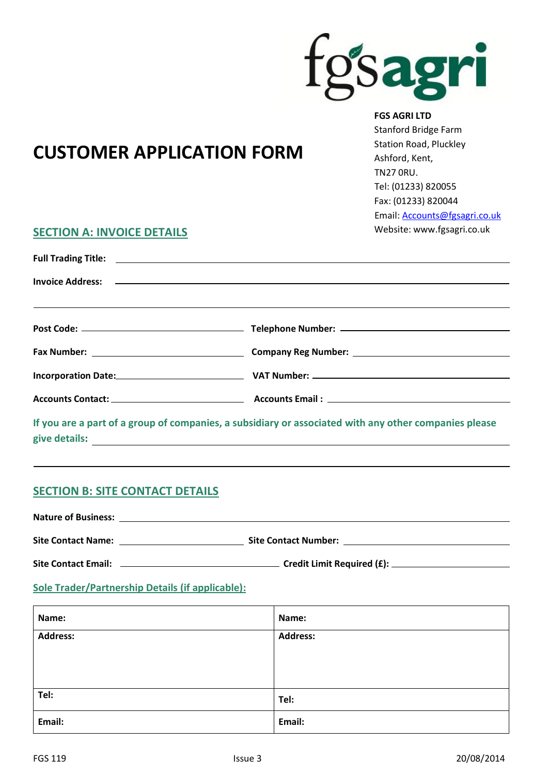

## **FGS AGRI LTD**

 Stanford Bridge Farm Station Road, Pluckley Ashford, Kent, TN27 0RU. Tel: (01233) 820055 Fax: (01233) 820044 Email: [Accounts@fgsagri.co.uk](mailto:Accounts@fgsagri.co.uk) Website: www.fgsagri.co.uk

# **CUSTOMER APPLICATION FORM**

## **SECTION A: INVOICE DETAILS**

| Accounts Contact: Accounts Email: Accounts Email: Accounts Email: Accounts Email: Accounts Email: Accounts Email: Accounts Email: Accounts Email: Accounts Email: Accounts Email: Accounts Email: Accounts Email: Accounts Ema |
|--------------------------------------------------------------------------------------------------------------------------------------------------------------------------------------------------------------------------------|

**If you are a part of a group of companies, a subsidiary or associated with any other companies please give details:**

## **SECTION B: SITE CONTACT DETAILS**

**Nature of Business: Site Contact Name: Site Contact Number: Site Contact Email: Credit Limit Required (£):**

## **Sole Trader/Partnership Details (if applicable):**

| Name:           | Name:           |
|-----------------|-----------------|
| <b>Address:</b> | <b>Address:</b> |
|                 |                 |
|                 |                 |
| Tel:            | Tel:            |
| Email:          | Email:          |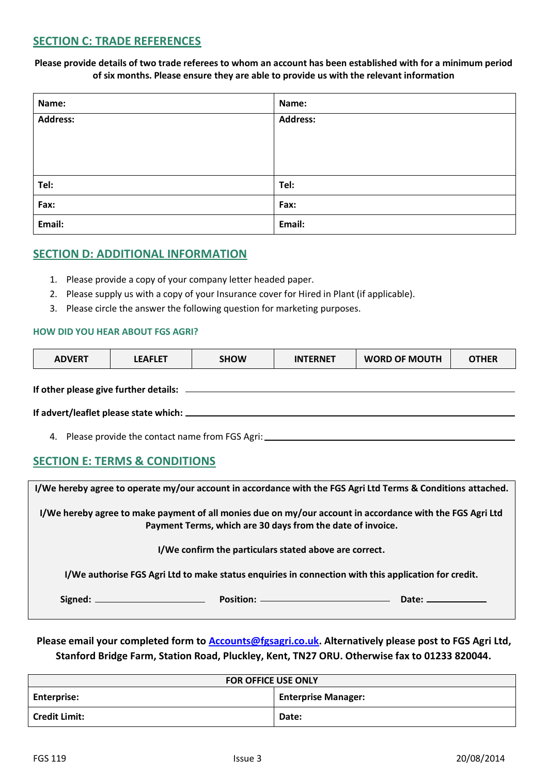## **SECTION C: TRADE REFERENCES**

**Please provide details of two trade referees to whom an account has been established with for a minimum period of six months. Please ensure they are able to provide us with the relevant information**

| Name:           | Name:           |
|-----------------|-----------------|
| <b>Address:</b> | <b>Address:</b> |
|                 |                 |
|                 |                 |
| Tel:            | Tel:            |
| Fax:            | Fax:            |
| Email:          | Email:          |

## **SECTION D: ADDITIONAL INFORMATION**

- 1. Please provide a copy of your company letter headed paper.
- 2. Please supply us with a copy of your Insurance cover for Hired in Plant (if applicable).
- 3. Please circle the answer the following question for marketing purposes.

## **HOW DID YOU HEAR ABOUT FGS AGRI?**

| <b>ADVERT</b> | <b>LEAFLET</b> | <b>SHOW</b> | <b>INTERNET</b> | <b>WORD OF MOUTH</b> | OTHER |
|---------------|----------------|-------------|-----------------|----------------------|-------|
|               |                |             |                 |                      |       |

**If other please give further details:**

| If advert/leaflet please state which: _ |  |
|-----------------------------------------|--|
|                                         |  |

4. Please provide the contact name from FGS Agri:

## **SECTION E: TERMS & CONDITIONS**

| I/We hereby agree to operate my/our account in accordance with the FGS Agri Ltd Terms & Conditions attached.                                                            |  |
|-------------------------------------------------------------------------------------------------------------------------------------------------------------------------|--|
| I/We hereby agree to make payment of all monies due on my/our account in accordance with the FGS Agri Ltd<br>Payment Terms, which are 30 days from the date of invoice. |  |
| I/We confirm the particulars stated above are correct.                                                                                                                  |  |
| I/We authorise FGS Agri Ltd to make status enquiries in connection with this application for credit.                                                                    |  |
|                                                                                                                                                                         |  |
|                                                                                                                                                                         |  |

**Please email your completed form to [Accounts@fgsagri.co.uk.](mailto:Accounts@fgsagri.co.uk) Alternatively please post to FGS Agri Ltd, Stanford Bridge Farm, Station Road, Pluckley, Kent, TN27 ORU. Otherwise fax to 01233 820044.**

| <b>FOR OFFICE USE ONLY</b> |                            |  |
|----------------------------|----------------------------|--|
| <b>Enterprise:</b>         | <b>Enterprise Manager:</b> |  |
| <b>Credit Limit:</b>       | Date:                      |  |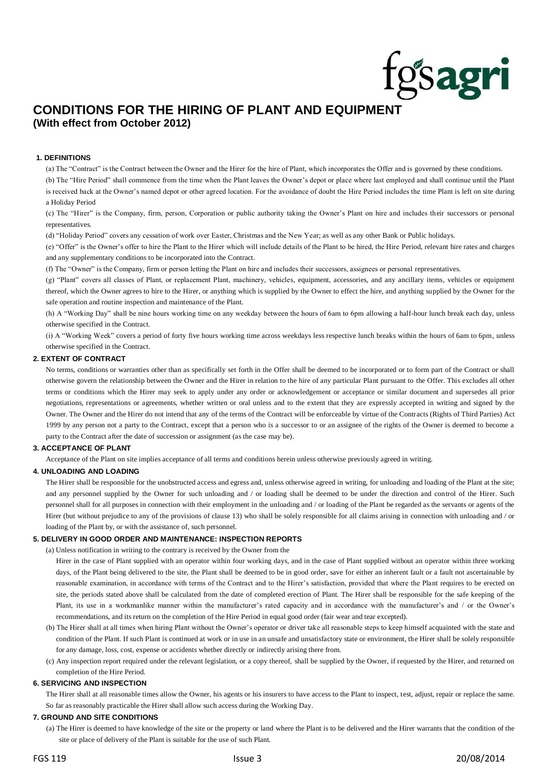## **CONDITIONS FOR THE HIRING OF PLANT AND EQUIPMENT (With effect from October 2012)**

## **1. DEFINITIONS**

(a) The "Contract" is the Contract between the Owner and the Hirer for the hire of Plant, which incorporates the Offer and is governed by these conditions. (b) The "Hire Period" shall commence from the time when the Plant leaves the Owner's depot or place where last employed and shall continue until the Plant is received back at the Owner's named depot or other agreed location. For the avoidance of doubt the Hire Period includes the time Plant is left on site during a Holiday Period

(c) The "Hirer" is the Company, firm, person, Corporation or public authority taking the Owner's Plant on hire and includes their successors or personal representatives.

(d) "Holiday Period" covers any cessation of work over Easter, Christmas and the New Year; as well as any other Bank or Public holidays.

(e) "Offer" is the Owner's offer to hire the Plant to the Hirer which will include details of the Plant to be hired, the Hire Period, relevant hire rates and charges and any supplementary conditions to be incorporated into the Contract.

(f) The "Owner" is the Company, firm or person letting the Plant on hire and includes their successors, assignees or personal representatives.

(g) "Plant" covers all classes of Plant, or replacement Plant, machinery, vehicles, equipment, accessories, and any ancillary items, vehicles or equipment thereof, which the Owner agrees to hire to the Hirer, or anything which is supplied by the Owner to effect the hire, and anything supplied by the Owner for the safe operation and routine inspection and maintenance of the Plant.

(h) A "Working Day" shall be nine hours working time on any weekday between the hours of 6am to 6pm allowing a half-hour lunch break each day, unless otherwise specified in the Contract.

(i) A "Working Week" covers a period of forty five hours working time across weekdays less respective lunch breaks within the hours of 6am to 6pm, unless otherwise specified in the Contract.

## **2. EXTENT OF CONTRACT**

No terms, conditions or warranties other than as specifically set forth in the Offer shall be deemed to be incorporated or to form part of the Contract or shall otherwise govern the relationship between the Owner and the Hirer in relation to the hire of any particular Plant pursuant to the Offer. This excludes all other terms or conditions which the Hirer may seek to apply under any order or acknowledgement or acceptance or similar document and supersedes all prior negotiations, representations or agreements, whether written or oral unless and to the extent that they are expressly accepted in writing and signed by the Owner. The Owner and the Hirer do not intend that any of the terms of the Contract will be enforceable by virtue of the Contracts (Rights of Third Parties) Act 1999 by any person not a party to the Contract, except that a person who is a successor to or an assignee of the rights of the Owner is deemed to become a party to the Contract after the date of succession or assignment (as the case may be).

#### **3. ACCEPTANCE OF PLANT**

Acceptance of the Plant on site implies acceptance of all terms and conditions herein unless otherwise previously agreed in writing.

#### **4. UNLOADING AND LOADING**

The Hirer shall be responsible for the unobstructed access and egress and, unless otherwise agreed in writing, for unloading and loading of the Plant at the site; and any personnel supplied by the Owner for such unloading and / or loading shall be deemed to be under the direction and control of the Hirer. Such personnel shall for all purposes in connection with their employment in the unloading and / or loading of the Plant be regarded as the servants or agents of the Hirer (but without prejudice to any of the provisions of clause 13) who shall be solely responsible for all claims arising in connection with unloading and / or loading of the Plant by, or with the assistance of, such personnel.

#### **5. DELIVERY IN GOOD ORDER AND MAINTENANCE: INSPECTION REPORTS**

(a) Unless notification in writing to the contrary is received by the Owner from the

Hirer in the case of Plant supplied with an operator within four working days, and in the case of Plant supplied without an operator within three working days, of the Plant being delivered to the site, the Plant shall be deemed to be in good order, save for either an inherent fault or a fault not ascertainable by reasonable examination, in accordance with terms of the Contract and to the Hirer's satisfaction, provided that where the Plant requires to be erected on site, the periods stated above shall be calculated from the date of completed erection of Plant. The Hirer shall be responsible for the safe keeping of the Plant, its use in a workmanlike manner within the manufacturer's rated capacity and in accordance with the manufacturer's and / or the Owner's recommendations, and its return on the completion of the Hire Period in equal good order (fair wear and tear excepted).

- (b) The Hirer shall at all times when hiring Plant without the Owner's operator or driver take all reasonable steps to keep himself acquainted with the state and condition of the Plant. If such Plant is continued at work or in use in an unsafe and unsatisfactory state or environment, the Hirer shall be solely responsible for any damage, loss, cost, expense or accidents whether directly or indirectly arising there from.
- (c) Any inspection report required under the relevant legislation, or a copy thereof, shall be supplied by the Owner, if requested by the Hirer, and returned on completion of the Hire Period.

## **6. SERVICING AND INSPECTION**

The Hirer shall at all reasonable times allow the Owner, his agents or his insurers to have access to the Plant to inspect, test, adjust, repair or replace the same. So far as reasonably practicable the Hirer shall allow such access during the Working Day.

## **7. GROUND AND SITE CONDITIONS**

(a) The Hirer is deemed to have knowledge of the site or the property or land where the Plant is to be delivered and the Hirer warrants that the condition of the site or place of delivery of the Plant is suitable for the use of such Plant.

gsagri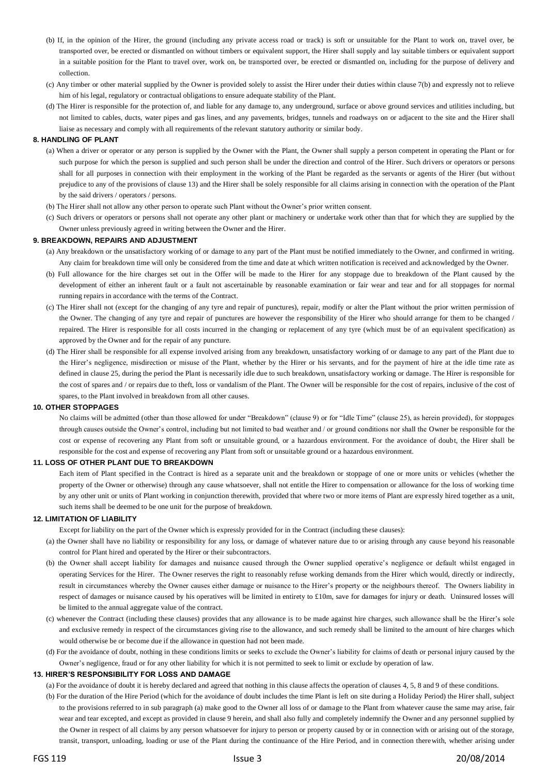- (b) If, in the opinion of the Hirer, the ground (including any private access road or track) is soft or unsuitable for the Plant to work on, travel over, be transported over, be erected or dismantled on without timbers or equivalent support, the Hirer shall supply and lay suitable timbers or equivalent support in a suitable position for the Plant to travel over, work on, be transported over, be erected or dismantled on, including for the purpose of delivery and collection.
- (c) Any timber or other material supplied by the Owner is provided solely to assist the Hirer under their duties within clause 7(b) and expressly not to relieve him of his legal, regulatory or contractual obligations to ensure adequate stability of the Plant.
- (d) The Hirer is responsible for the protection of, and liable for any damage to, any underground, surface or above ground services and utilities including, but not limited to cables, ducts, water pipes and gas lines, and any pavements, bridges, tunnels and roadways on or adjacent to the site and the Hirer shall liaise as necessary and comply with all requirements of the relevant statutory authority or similar body.

## **8. HANDLING OF PLANT**

- (a) When a driver or operator or any person is supplied by the Owner with the Plant, the Owner shall supply a person competent in operating the Plant or for such purpose for which the person is supplied and such person shall be under the direction and control of the Hirer. Such drivers or operators or persons shall for all purposes in connection with their employment in the working of the Plant be regarded as the servants or agents of the Hirer (but without prejudice to any of the provisions of clause 13) and the Hirer shall be solely responsible for all claims arising in connection with the operation of the Plant by the said drivers / operators / persons.
- (b) The Hirer shall not allow any other person to operate such Plant without the Owner's prior written consent.
- (c) Such drivers or operators or persons shall not operate any other plant or machinery or undertake work other than that for which they are supplied by the Owner unless previously agreed in writing between the Owner and the Hirer.

## **9. BREAKDOWN, REPAIRS AND ADJUSTMENT**

- (a) Any breakdown or the unsatisfactory working of or damage to any part of the Plant must be notified immediately to the Owner, and confirmed in writing. Any claim for breakdown time will only be considered from the time and date at which written notification is received and acknowledged by the Owner.
- (b) Full allowance for the hire charges set out in the Offer will be made to the Hirer for any stoppage due to breakdown of the Plant caused by the development of either an inherent fault or a fault not ascertainable by reasonable examination or fair wear and tear and for all stoppages for normal running repairs in accordance with the terms of the Contract.
- (c) The Hirer shall not (except for the changing of any tyre and repair of punctures), repair, modify or alter the Plant without the prior written permission of the Owner. The changing of any tyre and repair of punctures are however the responsibility of the Hirer who should arrange for them to be changed / repaired. The Hirer is responsible for all costs incurred in the changing or replacement of any tyre (which must be of an equivalent specification) as approved by the Owner and for the repair of any puncture.
- (d) The Hirer shall be responsible for all expense involved arising from any breakdown, unsatisfactory working of or damage to any part of the Plant due to the Hirer's negligence, misdirection or misuse of the Plant, whether by the Hirer or his servants, and for the payment of hire at the idle time rate as defined in clause 25, during the period the Plant is necessarily idle due to such breakdown, unsatisfactory working or damage. The Hirer is responsible for the cost of spares and / or repairs due to theft, loss or vandalism of the Plant. The Owner will be responsible for the cost of repairs, inclusive of the cost of spares, to the Plant involved in breakdown from all other causes.

## **10. OTHER STOPPAGES**

No claims will be admitted (other than those allowed for under "Breakdown" (clause 9) or for "Idle Time" (clause 25), as herein provided), for stoppages through causes outside the Owner's control, including but not limited to bad weather and / or ground conditions nor shall the Owner be responsible for the cost or expense of recovering any Plant from soft or unsuitable ground, or a hazardous environment. For the avoidance of doubt, the Hirer shall be responsible for the cost and expense of recovering any Plant from soft or unsuitable ground or a hazardous environment.

## **11. LOSS OF OTHER PLANT DUE TO BREAKDOWN**

Each item of Plant specified in the Contract is hired as a separate unit and the breakdown or stoppage of one or more units or vehicles (whether the property of the Owner or otherwise) through any cause whatsoever, shall not entitle the Hirer to compensation or allowance for the loss of working time by any other unit or units of Plant working in conjunction therewith, provided that where two or more items of Plant are expressly hired together as a unit, such items shall be deemed to be one unit for the purpose of breakdown.

## **12. LIMITATION OF LIABILITY**

Except for liability on the part of the Owner which is expressly provided for in the Contract (including these clauses):

- (a) the Owner shall have no liability or responsibility for any loss, or damage of whatever nature due to or arising through any cause beyond his reasonable control for Plant hired and operated by the Hirer or their subcontractors.
- (b) the Owner shall accept liability for damages and nuisance caused through the Owner supplied operative's negligence or default whilst engaged in operating Services for the Hirer. The Owner reserves the right to reasonably refuse working demands from the Hirer which would, directly or indirectly, result in circumstances whereby the Owner causes either damage or nuisance to the Hirer's property or the neighbours thereof. The Owners liability in respect of damages or nuisance caused by his operatives will be limited in entirety to £10m, save for damages for injury or death. Uninsured losses will be limited to the annual aggregate value of the contract.
- (c) whenever the Contract (including these clauses) provides that any allowance is to be made against hire charges, such allowance shall be the Hirer's sole and exclusive remedy in respect of the circumstances giving rise to the allowance, and such remedy shall be limited to the amount of hire charges which would otherwise be or become due if the allowance in question had not been made.
- (d) For the avoidance of doubt, nothing in these conditions limits or seeks to exclude the Owner's liability for claims of death or personal injury caused by the Owner's negligence, fraud or for any other liability for which it is not permitted to seek to limit or exclude by operation of law.

#### **13. HIRER'S RESPONSIBILITY FOR LOSS AND DAMAGE**

(a) For the avoidance of doubt it is hereby declared and agreed that nothing in this clause affects the operation of clauses 4, 5, 8 and 9 of these conditions.

(b) For the duration of the Hire Period (which for the avoidance of doubt includes the time Plant is left on site during a Holiday Period) the Hirer shall, subject to the provisions referred to in sub paragraph (a) make good to the Owner all loss of or damage to the Plant from whatever cause the same may arise, fair wear and tear excepted, and except as provided in clause 9 herein, and shall also fully and completely indemnify the Owner and any personnel supplied by the Owner in respect of all claims by any person whatsoever for injury to person or property caused by or in connection with or arising out of the storage, transit, transport, unloading, loading or use of the Plant during the continuance of the Hire Period, and in connection therewith, whether arising under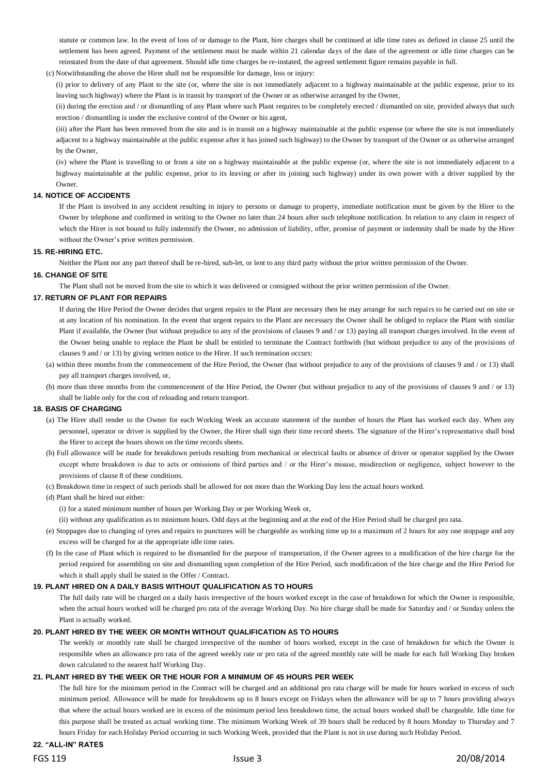statute or common law. In the event of loss of or damage to the Plant, hire charges shall be continued at idle time rates as defined in clause 25 until the settlement has been agreed. Payment of the settlement must be made within 21 calendar days of the date of the agreement or idle time charges can be reinstated from the date of that agreement. Should idle time charges be re-instated, the agreed settlement figure remains payable in full.

(c) Notwithstanding the above the Hirer shall not be responsible for damage, loss or injury:

(i) prior to delivery of any Plant to the site (or, where the site is not immediately adjacent to a highway maintainable at the public expense, prior to its leaving such highway) where the Plant is in transit by transport of the Owner or as otherwise arranged by the Owner,

(ii) during the erection and / or dismantling of any Plant where such Plant requires to be completely erected / dismantled on site, provided always that such erection / dismantling is under the exclusive control of the Owner or his agent,

(iii) after the Plant has been removed from the site and is in transit on a highway maintainable at the public expense (or where the site is not immediately adjacent to a highway maintainable at the public expense after it has joined such highway) to the Owner by transport of the Owner or as otherwise arranged by the Owner,

(iv) where the Plant is travelling to or from a site on a highway maintainable at the public expense (or, where the site is not immediately adjacent to a highway maintainable at the public expense, prior to its leaving or after its joining such highway) under its own power with a driver supplied by the Owner.

## **14. NOTICE OF ACCIDENTS**

If the Plant is involved in any accident resulting in injury to persons or damage to property, immediate notification must be given by the Hirer to the Owner by telephone and confirmed in writing to the Owner no later than 24 hours after such telephone notification. In relation to any claim in respect of which the Hirer is not bound to fully indemnify the Owner, no admission of liability, offer, promise of payment or indemnity shall be made by the Hirer without the Owner's prior written permission.

## **15. RE-HIRING ETC.**

Neither the Plant nor any part thereof shall be re-hired, sub-let, or lent to any third party without the prior written permission of the Owner.

## **16. CHANGE OF SITE**

The Plant shall not be moved from the site to which it was delivered or consigned without the prior written permission of the Owner.

## **17. RETURN OF PLANT FOR REPAIRS**

If during the Hire Period the Owner decides that urgent repairs to the Plant are necessary then he may arrange for such repairs to be carried out on site or at any location of his nomination. In the event that urgent repairs to the Plant are necessary the Owner shall be obliged to replace the Plant with similar Plant if available, the Owner (but without prejudice to any of the provisions of clauses 9 and / or 13) paying all transport charges involved. In the event of the Owner being unable to replace the Plant he shall be entitled to terminate the Contract forthwith (but without prejudice to any of the provisions of clauses 9 and / or 13) by giving written notice to the Hirer. If such termination occurs:

- (a) within three months from the commencement of the Hire Period, the Owner (but without prejudice to any of the provisions of clauses 9 and / or 13) shall pay all transport charges involved, or,
- (b) more than three months from the commencement of the Hire Period, the Owner (but without prejudice to any of the provisions of clauses 9 and / or 13) shall be liable only for the cost of reloading and return transport.

## **18. BASIS OF CHARGING**

- (a) The Hirer shall render to the Owner for each Working Week an accurate statement of the number of hours the Plant has worked each day. When any personnel, operator or driver is supplied by the Owner, the Hirer shall sign their time record sheets. The signature of the Hirer's representative shall bind the Hirer to accept the hours shown on the time records sheets.
- (b) Full allowance will be made for breakdown periods resulting from mechanical or electrical faults or absence of driver or operator supplied by the Owner except where breakdown is due to acts or omissions of third parties and / or the Hirer's misuse, misdirection or negligence, subject however to the provisions of clause 8 of these conditions.
- (c) Breakdown time in respect of such periods shall be allowed for not more than the Working Day less the actual hours worked.

## (d) Plant shall be hired out either:

(i) for a stated minimum number of hours per Working Day or per Working Week or,

(ii) without any qualification as to minimum hours. Odd days at the beginning and at the end of the Hire Period shall be charged pro rata.

- (e) Stoppages due to changing of tyres and repairs to punctures will be chargeable as working time up to a maximum of 2 hours for any one stoppage and any excess will be charged for at the appropriate idle time rates.
- (f) In the case of Plant which is required to be dismantled for the purpose of transportation, if the Owner agrees to a modification of the hire charge for the period required for assembling on site and dismantling upon completion of the Hire Period, such modification of the hire charge and the Hire Period for which it shall apply shall be stated in the Offer / Contract.

## **19. PLANT HIRED ON A DAILY BASIS WITHOUT QUALIFICATION AS TO HOURS**

The full daily rate will be charged on a daily basis irrespective of the hours worked except in the case of breakdown for which the Owner is responsible, when the actual hours worked will be charged pro rata of the average Working Day. No hire charge shall be made for Saturday and / or Sunday unless the Plant is actually worked.

## **20. PLANT HIRED BY THE WEEK OR MONTH WITHOUT QUALIFICATION AS TO HOURS**

The weekly or monthly rate shall be charged irrespective of the number of hours worked, except in the case of breakdown for which the Owner is responsible when an allowance pro rata of the agreed weekly rate or pro rata of the agreed monthly rate will be made for each full Working Day broken down calculated to the nearest half Working Day.

## **21. PLANT HIRED BY THE WEEK OR THE HOUR FOR A MINIMUM OF 45 HOURS PER WEEK**

The full hire for the minimum period in the Contract will be charged and an additional pro rata charge will be made for hours worked in excess of such minimum period. Allowance will be made for breakdowns up to 8 hours except on Fridays when the allowance will be up to 7 hours providing always that where the actual hours worked are in excess of the minimum period less breakdown time, the actual hours worked shall be chargeable. Idle time for this purpose shall be treated as actual working time. The minimum Working Week of 39 hours shall be reduced by 8 hours Monday to Thursday and 7 hours Friday for each Holiday Period occurring in such Working Week, provided that the Plant is not in use during such Holiday Period.

## **22. "ALL-IN" RATES**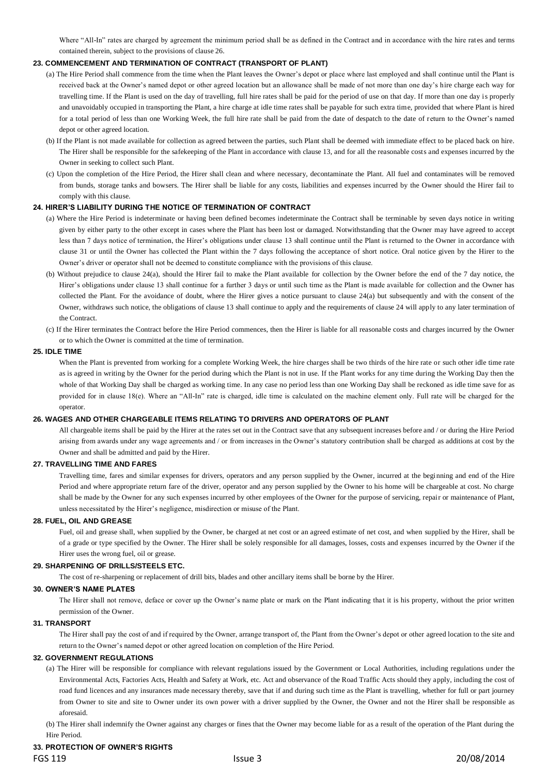Where "All-In" rates are charged by agreement the minimum period shall be as defined in the Contract and in accordance with the hire rates and terms contained therein, subject to the provisions of clause 26.

## **23. COMMENCEMENT AND TERMINATION OF CONTRACT (TRANSPORT OF PLANT)**

- (a) The Hire Period shall commence from the time when the Plant leaves the Owner's depot or place where last employed and shall continue until the Plant is received back at the Owner's named depot or other agreed location but an allowance shall be made of not more than one day's hire charge each way for travelling time. If the Plant is used on the day of travelling, full hire rates shall be paid for the period of use on that day. If more than one day is properly and unavoidably occupied in transporting the Plant, a hire charge at idle time rates shall be payable for such extra time, provided that where Plant is hired for a total period of less than one Working Week, the full hire rate shall be paid from the date of despatch to the date of return to the Owner's named depot or other agreed location.
- (b) If the Plant is not made available for collection as agreed between the parties, such Plant shall be deemed with immediate effect to be placed back on hire. The Hirer shall be responsible for the safekeeping of the Plant in accordance with clause 13, and for all the reasonable costs and expenses incurred by the Owner in seeking to collect such Plant.
- (c) Upon the completion of the Hire Period, the Hirer shall clean and where necessary, decontaminate the Plant. All fuel and contaminates will be removed from bunds, storage tanks and bowsers. The Hirer shall be liable for any costs, liabilities and expenses incurred by the Owner should the Hirer fail to comply with this clause.

## **24. HIRER'S LIABILITY DURING THE NOTICE OF TERMINATION OF CONTRACT**

- (a) Where the Hire Period is indeterminate or having been defined becomes indeterminate the Contract shall be terminable by seven days notice in writing given by either party to the other except in cases where the Plant has been lost or damaged. Notwithstanding that the Owner may have agreed to accept less than 7 days notice of termination, the Hirer's obligations under clause 13 shall continue until the Plant is returned to the Owner in accordance with clause 31 or until the Owner has collected the Plant within the 7 days following the acceptance of short notice. Oral notice given by the Hirer to the Owner's driver or operator shall not be deemed to constitute compliance with the provisions of this clause.
- (b) Without prejudice to clause 24(a), should the Hirer fail to make the Plant available for collection by the Owner before the end of the 7 day notice, the Hirer's obligations under clause 13 shall continue for a further 3 days or until such time as the Plant is made available for collection and the Owner has collected the Plant. For the avoidance of doubt, where the Hirer gives a notice pursuant to clause 24(a) but subsequently and with the consent of the Owner, withdraws such notice, the obligations of clause 13 shall continue to apply and the requirements of clause 24 will apply to any later termination of the Contract.
- (c) If the Hirer terminates the Contract before the Hire Period commences, then the Hirer is liable for all reasonable costs and charges incurred by the Owner or to which the Owner is committed at the time of termination.

## **25. IDLE TIME**

When the Plant is prevented from working for a complete Working Week, the hire charges shall be two thirds of the hire rate or such other idle time rate as is agreed in writing by the Owner for the period during which the Plant is not in use. If the Plant works for any time during the Working Day then the whole of that Working Day shall be charged as working time. In any case no period less than one Working Day shall be reckoned as idle time save for as provided for in clause 18(e). Where an "All-In" rate is charged, idle time is calculated on the machine element only. Full rate will be charged for the operator.

## **26. WAGES AND OTHER CHARGEABLE ITEMS RELATING TO DRIVERS AND OPERATORS OF PLANT**

All chargeable items shall be paid by the Hirer at the rates set out in the Contract save that any subsequent increases before and / or during the Hire Period arising from awards under any wage agreements and / or from increases in the Owner's statutory contribution shall be charged as additions at cost by the Owner and shall be admitted and paid by the Hirer.

## **27. TRAVELLING TIME AND FARES**

Travelling time, fares and similar expenses for drivers, operators and any person supplied by the Owner, incurred at the beginning and end of the Hire Period and where appropriate return fare of the driver, operator and any person supplied by the Owner to his home will be chargeable at cost. No charge shall be made by the Owner for any such expenses incurred by other employees of the Owner for the purpose of servicing, repair or maintenance of Plant, unless necessitated by the Hirer's negligence, misdirection or misuse of the Plant.

## **28. FUEL, OIL AND GREASE**

Fuel, oil and grease shall, when supplied by the Owner, be charged at net cost or an agreed estimate of net cost, and when supplied by the Hirer, shall be of a grade or type specified by the Owner. The Hirer shall be solely responsible for all damages, losses, costs and expenses incurred by the Owner if the Hirer uses the wrong fuel, oil or grease.

## **29. SHARPENING OF DRILLS/STEELS ETC.**

The cost of re-sharpening or replacement of drill bits, blades and other ancillary items shall be borne by the Hirer.

## **30. OWNER'S NAME PLATES**

The Hirer shall not remove, deface or cover up the Owner's name plate or mark on the Plant indicating that it is his property, without the prior written permission of the Owner.

## **31. TRANSPORT**

The Hirer shall pay the cost of and if required by the Owner, arrange transport of, the Plant from the Owner's depot or other agreed location to the site and return to the Owner's named depot or other agreed location on completion of the Hire Period.

## **32. GOVERNMENT REGULATIONS**

(a) The Hirer will be responsible for compliance with relevant regulations issued by the Government or Local Authorities, including regulations under the Environmental Acts, Factories Acts, Health and Safety at Work, etc. Act and observance of the Road Traffic Acts should they apply, including the cost of road fund licences and any insurances made necessary thereby, save that if and during such time as the Plant is travelling, whether for full or part journey from Owner to site and site to Owner under its own power with a driver supplied by the Owner, the Owner and not the Hirer shall be responsible as aforesaid.

(b) The Hirer shall indemnify the Owner against any charges or fines that the Owner may become liable for as a result of the operation of the Plant during the Hire Period.

## **33. PROTECTION OF OWNER'S RIGHTS**